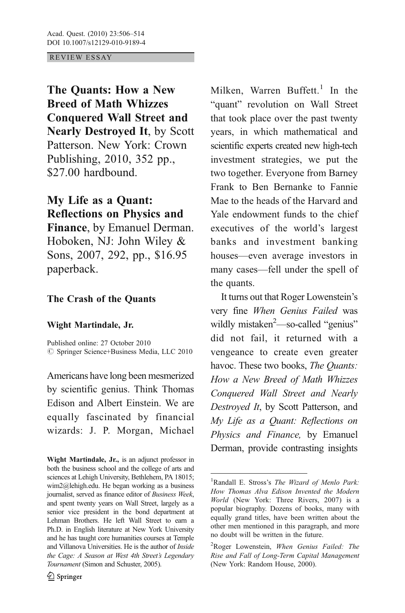#### REVIEW ESSAY

The Quants: How a New Breed of Math Whizzes Conquered Wall Street and Nearly Destroyed It, by Scott Patterson. New York: Crown Publishing, 2010, 352 pp., \$27.00 hardbound.

My Life as a Quant: Reflections on Physics and Finance, by Emanuel Derman. Hoboken, NJ: John Wiley & Sons, 2007, 292, pp., \$16.95 paperback.

# The Crash of the Quants

### Wight Martindale, Jr.

Published online: 27 October 2010  $©$  Springer Science+Business Media, LLC 2010

Americans have long been mesmerized by scientific genius. Think Thomas Edison and Albert Einstein. We are equally fascinated by financial wizards: J. P. Morgan, Michael Milken, Warren Buffett.<sup>1</sup> In the "quant" revolution on Wall Street that took place over the past twenty years, in which mathematical and scientific experts created new high-tech investment strategies, we put the two together. Everyone from Barney Frank to Ben Bernanke to Fannie Mae to the heads of the Harvard and Yale endowment funds to the chief executives of the world's largest banks and investment banking houses—even average investors in many cases—fell under the spell of the quants.

It turns out that Roger Lowenstein's very fine When Genius Failed was wildly mistaken<sup>2</sup>—so-called "genius" did not fail, it returned with a vengeance to create even greater havoc. These two books, The Quants: How a New Breed of Math Whizzes Conquered Wall Street and Nearly Destroyed It, by Scott Patterson, and My Life as a Quant: Reflections on Physics and Finance, by Emanuel Derman, provide contrasting insights

Wight Martindale, Jr., is an adjunct professor in both the business school and the college of arts and sciences at Lehigh University, Bethlehem, PA 18015; wim2@lehigh.edu. He began working as a business journalist, served as finance editor of Business Week, and spent twenty years on Wall Street, largely as a senior vice president in the bond department at Lehman Brothers. He left Wall Street to earn a Ph.D. in English literature at New York University and he has taught core humanities courses at Temple and Villanova Universities. He is the author of Inside the Cage: A Season at West 4th Street's Legendary Tournament (Simon and Schuster, 2005).

<sup>&</sup>lt;sup>1</sup>Randall E. Stross's The Wizard of Menlo Park: How Thomas Alva Edison Invented the Modern World (New York: Three Rivers, 2007) is a popular biography. Dozens of books, many with equally grand titles, have been written about the other men mentioned in this paragraph, and more no doubt will be written in the future.

<sup>&</sup>lt;sup>2</sup>Roger Lowenstein, When Genius Failed: The Rise and Fall of Long-Term Capital Management (New York: Random House, 2000).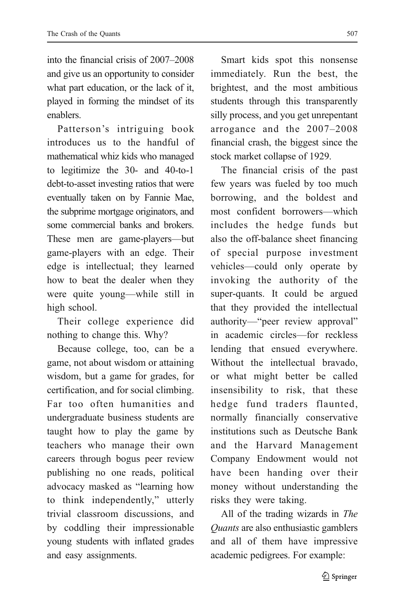into the financial crisis of 2007–2008 and give us an opportunity to consider what part education, or the lack of it, played in forming the mindset of its enablers.

Patterson's intriguing book introduces us to the handful of mathematical whiz kids who managed to legitimize the 30- and 40-to-1 debt-to-asset investing ratios that were eventually taken on by Fannie Mae, the subprime mortgage originators, and some commercial banks and brokers. These men are game-players—but game-players with an edge. Their edge is intellectual; they learned how to beat the dealer when they were quite young—while still in high school.

Their college experience did nothing to change this. Why?

Because college, too, can be a game, not about wisdom or attaining wisdom, but a game for grades, for certification, and for social climbing. Far too often humanities and undergraduate business students are taught how to play the game by teachers who manage their own careers through bogus peer review publishing no one reads, political advocacy masked as "learning how to think independently," utterly trivial classroom discussions, and by coddling their impressionable young students with inflated grades and easy assignments.

Smart kids spot this nonsense immediately. Run the best, the brightest, and the most ambitious students through this transparently silly process, and you get unrepentant arrogance and the 2007–2008 financial crash, the biggest since the stock market collapse of 1929.

The financial crisis of the past few years was fueled by too much borrowing, and the boldest and most confident borrowers—which includes the hedge funds but also the off-balance sheet financing of special purpose investment vehicles—could only operate by invoking the authority of the super-quants. It could be argued that they provided the intellectual authority—"peer review approval" in academic circles—for reckless lending that ensued everywhere. Without the intellectual bravado, or what might better be called insensibility to risk, that these hedge fund traders flaunted, normally financially conservative institutions such as Deutsche Bank and the Harvard Management Company Endowment would not have been handing over their money without understanding the risks they were taking.

All of the trading wizards in The Quants are also enthusiastic gamblers and all of them have impressive academic pedigrees. For example: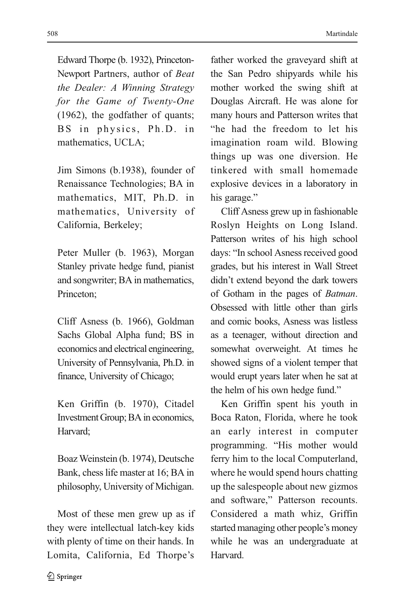Edward Thorpe (b. 1932), Princeton-Newport Partners, author of Beat the Dealer: A Winning Strategy for the Game of Twenty-One (1962), the godfather of quants; BS in physics, Ph.D. in mathematics, UCLA;

Jim Simons (b.1938), founder of Renaissance Technologies; BA in mathematics, MIT, Ph.D. in mathematics, University of California, Berkeley;

Peter Muller (b. 1963), Morgan Stanley private hedge fund, pianist and songwriter; BA in mathematics, Princeton;

Cliff Asness (b. 1966), Goldman Sachs Global Alpha fund; BS in economics and electrical engineering, University of Pennsylvania, Ph.D. in finance, University of Chicago;

Ken Griffin (b. 1970), Citadel Investment Group; BA in economics, Harvard;

Boaz Weinstein (b. 1974), Deutsche Bank, chess life master at 16; BA in philosophy, University of Michigan.

Most of these men grew up as if they were intellectual latch-key kids with plenty of time on their hands. In Lomita, California, Ed Thorpe's

father worked the graveyard shift at the San Pedro shipyards while his mother worked the swing shift at Douglas Aircraft. He was alone for many hours and Patterson writes that "he had the freedom to let his imagination roam wild. Blowing things up was one diversion. He tinkered with small homemade explosive devices in a laboratory in his garage."

Cliff Asness grew up in fashionable Roslyn Heights on Long Island. Patterson writes of his high school days: "In school Asness received good grades, but his interest in Wall Street didn't extend beyond the dark towers of Gotham in the pages of Batman. Obsessed with little other than girls and comic books, Asness was listless as a teenager, without direction and somewhat overweight. At times he showed signs of a violent temper that would erupt years later when he sat at the helm of his own hedge fund."

Ken Griffin spent his youth in Boca Raton, Florida, where he took an early interest in computer programming. "His mother would ferry him to the local Computerland, where he would spend hours chatting up the salespeople about new gizmos and software," Patterson recounts. Considered a math whiz, Griffin started managing other people's money while he was an undergraduate at Harvard.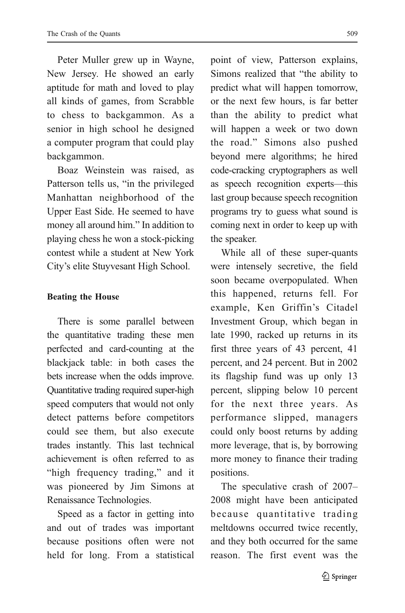Peter Muller grew up in Wayne, New Jersey. He showed an early aptitude for math and loved to play all kinds of games, from Scrabble to chess to backgammon. As a senior in high school he designed a computer program that could play backgammon.

Boaz Weinstein was raised, as Patterson tells us, "in the privileged Manhattan neighborhood of the Upper East Side. He seemed to have money all around him." In addition to playing chess he won a stock-picking contest while a student at New York City's elite Stuyvesant High School.

#### Beating the House

There is some parallel between the quantitative trading these men perfected and card-counting at the blackjack table: in both cases the bets increase when the odds improve. Quantitative trading required super-high speed computers that would not only detect patterns before competitors could see them, but also execute trades instantly. This last technical achievement is often referred to as "high frequency trading," and it was pioneered by Jim Simons at Renaissance Technologies.

Speed as a factor in getting into and out of trades was important because positions often were not held for long. From a statistical

point of view, Patterson explains, Simons realized that "the ability to predict what will happen tomorrow, or the next few hours, is far better than the ability to predict what will happen a week or two down the road." Simons also pushed beyond mere algorithms; he hired code-cracking cryptographers as well as speech recognition experts—this last group because speech recognition programs try to guess what sound is coming next in order to keep up with the speaker.

While all of these super-quants were intensely secretive, the field soon became overpopulated. When this happened, returns fell. For example, Ken Griffin's Citadel Investment Group, which began in late 1990, racked up returns in its first three years of 43 percent, 41 percent, and 24 percent. But in 2002 its flagship fund was up only 13 percent, slipping below 10 percent for the next three years. As performance slipped, managers could only boost returns by adding more leverage, that is, by borrowing more money to finance their trading positions.

The speculative crash of 2007– 2008 might have been anticipated because quantitative trading meltdowns occurred twice recently, and they both occurred for the same reason. The first event was the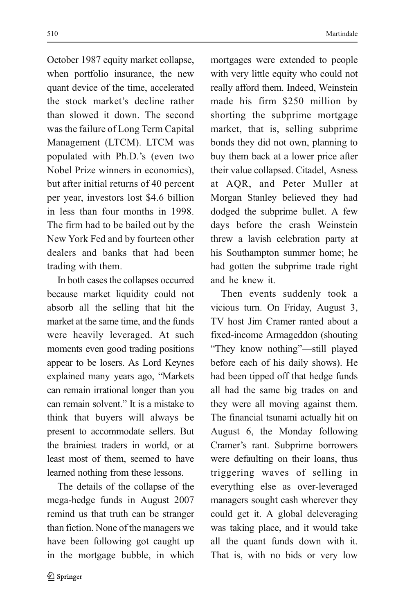October 1987 equity market collapse, when portfolio insurance, the new quant device of the time, accelerated the stock market's decline rather than slowed it down. The second was the failure of Long Term Capital Management (LTCM). LTCM was populated with Ph.D.'s (even two Nobel Prize winners in economics), but after initial returns of 40 percent per year, investors lost \$4.6 billion in less than four months in 1998. The firm had to be bailed out by the New York Fed and by fourteen other dealers and banks that had been trading with them.

In both cases the collapses occurred because market liquidity could not absorb all the selling that hit the market at the same time, and the funds were heavily leveraged. At such moments even good trading positions appear to be losers. As Lord Keynes explained many years ago, "Markets can remain irrational longer than you can remain solvent." It is a mistake to think that buyers will always be present to accommodate sellers. But the brainiest traders in world, or at least most of them, seemed to have learned nothing from these lessons.

The details of the collapse of the mega-hedge funds in August 2007 remind us that truth can be stranger than fiction. None of the managers we have been following got caught up in the mortgage bubble, in which

2 Springer

mortgages were extended to people with very little equity who could not really afford them. Indeed, Weinstein made his firm \$250 million by shorting the subprime mortgage market, that is, selling subprime bonds they did not own, planning to buy them back at a lower price after their value collapsed. Citadel, Asness at AQR, and Peter Muller at Morgan Stanley believed they had dodged the subprime bullet. A few days before the crash Weinstein threw a lavish celebration party at his Southampton summer home; he had gotten the subprime trade right and he knew it.

Then events suddenly took a vicious turn. On Friday, August 3, TV host Jim Cramer ranted about a fixed-income Armageddon (shouting "They know nothing"—still played before each of his daily shows). He had been tipped off that hedge funds all had the same big trades on and they were all moving against them. The financial tsunami actually hit on August 6, the Monday following Cramer's rant. Subprime borrowers were defaulting on their loans, thus triggering waves of selling in everything else as over-leveraged managers sought cash wherever they could get it. A global deleveraging was taking place, and it would take all the quant funds down with it. That is, with no bids or very low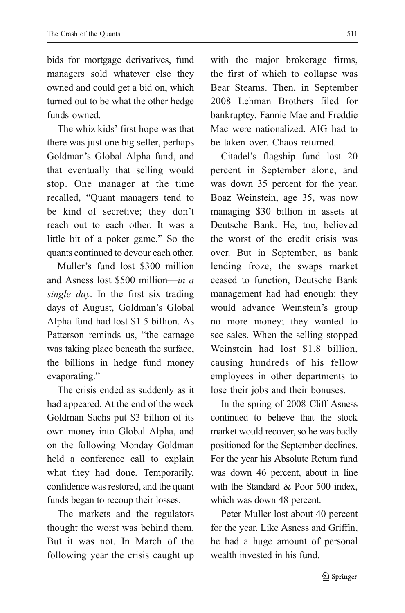bids for mortgage derivatives, fund managers sold whatever else they owned and could get a bid on, which turned out to be what the other hedge funds owned.

The whiz kids' first hope was that there was just one big seller, perhaps Goldman's Global Alpha fund, and that eventually that selling would stop. One manager at the time recalled, "Quant managers tend to be kind of secretive; they don't reach out to each other. It was a little bit of a poker game." So the quants continued to devour each other.

Muller's fund lost \$300 million and Asness lost \$500 million—in a single day. In the first six trading days of August, Goldman's Global Alpha fund had lost \$1.5 billion. As Patterson reminds us, "the carnage was taking place beneath the surface, the billions in hedge fund money evaporating."

The crisis ended as suddenly as it had appeared. At the end of the week Goldman Sachs put \$3 billion of its own money into Global Alpha, and on the following Monday Goldman held a conference call to explain what they had done. Temporarily, confidence was restored, and the quant funds began to recoup their losses.

The markets and the regulators thought the worst was behind them. But it was not. In March of the following year the crisis caught up with the major brokerage firms, the first of which to collapse was Bear Stearns. Then, in September 2008 Lehman Brothers filed for bankruptcy. Fannie Mae and Freddie Mac were nationalized. AIG had to be taken over. Chaos returned.

Citadel's flagship fund lost 20 percent in September alone, and was down 35 percent for the year. Boaz Weinstein, age 35, was now managing \$30 billion in assets at Deutsche Bank. He, too, believed the worst of the credit crisis was over. But in September, as bank lending froze, the swaps market ceased to function, Deutsche Bank management had had enough: they would advance Weinstein's group no more money; they wanted to see sales. When the selling stopped Weinstein had lost \$1.8 billion, causing hundreds of his fellow employees in other departments to lose their jobs and their bonuses.

In the spring of 2008 Cliff Asness continued to believe that the stock market would recover, so he was badly positioned for the September declines. For the year his Absolute Return fund was down 46 percent, about in line with the Standard & Poor 500 index, which was down 48 percent.

Peter Muller lost about 40 percent for the year. Like Asness and Griffin, he had a huge amount of personal wealth invested in his fund.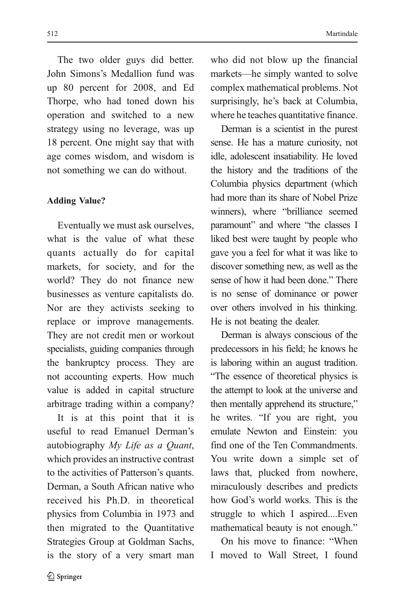The two older guys did better. John Simons's Medallion fund was up 80 percent for 2008, and Ed Thorpe, who had toned down his operation and switched to a new strategy using no leverage, was up 18 percent. One might say that with age comes wisdom, and wisdom is not something we can do without.

### Adding Value?

Eventually we must ask ourselves, what is the value of what these quants actually do for capital markets, for society, and for the world? They do not finance new businesses as venture capitalists do. Nor are they activists seeking to replace or improve managements. They are not credit men or workout specialists, guiding companies through the bankruptcy process. They are not accounting experts. How much value is added in capital structure arbitrage trading within a company?

It is at this point that it is useful to read Emanuel Derman's autobiography My Life as a Quant, which provides an instructive contrast to the activities of Patterson's quants. Derman, a South African native who received his Ph.D. in theoretical physics from Columbia in 1973 and then migrated to the Quantitative Strategies Group at Goldman Sachs, is the story of a very smart man

who did not blow up the financial markets—he simply wanted to solve complex mathematical problems. Not surprisingly, he's back at Columbia, where he teaches quantitative finance.

Derman is a scientist in the purest sense. He has a mature curiosity, not idle, adolescent insatiability. He loved the history and the traditions of the Columbia physics department (which had more than its share of Nobel Prize winners), where "brilliance seemed paramount" and where "the classes I liked best were taught by people who gave you a feel for what it was like to discover something new, as well as the sense of how it had been done." There is no sense of dominance or power over others involved in his thinking. He is not beating the dealer.

Derman is always conscious of the predecessors in his field; he knows he is laboring within an august tradition. "The essence of theoretical physics is the attempt to look at the universe and then mentally apprehend its structure," he writes. "If you are right, you emulate Newton and Einstein: you find one of the Ten Commandments. You write down a simple set of laws that, plucked from nowhere, miraculously describes and predicts how God's world works. This is the struggle to which I aspired....Even mathematical beauty is not enough."

On his move to finance: "When I moved to Wall Street, I found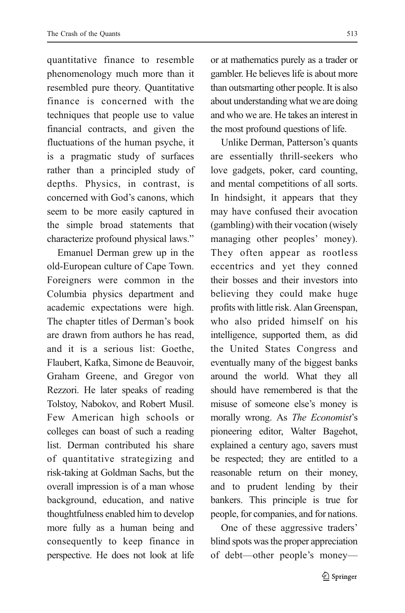quantitative finance to resemble phenomenology much more than it resembled pure theory. Quantitative finance is concerned with the techniques that people use to value financial contracts, and given the fluctuations of the human psyche, it is a pragmatic study of surfaces rather than a principled study of depths. Physics, in contrast, is concerned with God's canons, which seem to be more easily captured in the simple broad statements that characterize profound physical laws."

Emanuel Derman grew up in the old-European culture of Cape Town. Foreigners were common in the Columbia physics department and academic expectations were high. The chapter titles of Derman's book are drawn from authors he has read, and it is a serious list: Goethe, Flaubert, Kafka, Simone de Beauvoir, Graham Greene, and Gregor von Rezzori. He later speaks of reading Tolstoy, Nabokov, and Robert Musil. Few American high schools or colleges can boast of such a reading list. Derman contributed his share of quantitative strategizing and risk-taking at Goldman Sachs, but the overall impression is of a man whose background, education, and native thoughtfulness enabled him to develop more fully as a human being and consequently to keep finance in perspective. He does not look at life or at mathematics purely as a trader or gambler. He believes life is about more than outsmarting other people. It is also about understanding what we are doing and who we are. He takes an interest in the most profound questions of life.

Unlike Derman, Patterson's quants are essentially thrill-seekers who love gadgets, poker, card counting, and mental competitions of all sorts. In hindsight, it appears that they may have confused their avocation (gambling) with their vocation (wisely managing other peoples' money). They often appear as rootless eccentrics and yet they conned their bosses and their investors into believing they could make huge profits with little risk. Alan Greenspan, who also prided himself on his intelligence, supported them, as did the United States Congress and eventually many of the biggest banks around the world. What they all should have remembered is that the misuse of someone else's money is morally wrong. As The Economist's pioneering editor, Walter Bagehot, explained a century ago, savers must be respected; they are entitled to a reasonable return on their money, and to prudent lending by their bankers. This principle is true for people, for companies, and for nations.

One of these aggressive traders' blind spots was the proper appreciation of debt—other people's money—